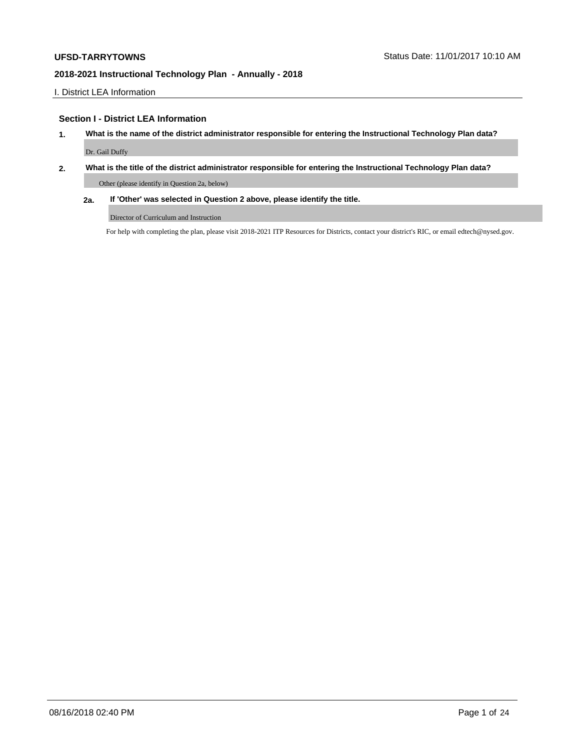I. District LEA Information

## **Section I - District LEA Information**

- **1. What is the name of the district administrator responsible for entering the Instructional Technology Plan data?** Dr. Gail Duffy
- **2. What is the title of the district administrator responsible for entering the Instructional Technology Plan data?**

Other (please identify in Question 2a, below)

**2a. If 'Other' was selected in Question 2 above, please identify the title.**

Director of Curriculum and Instruction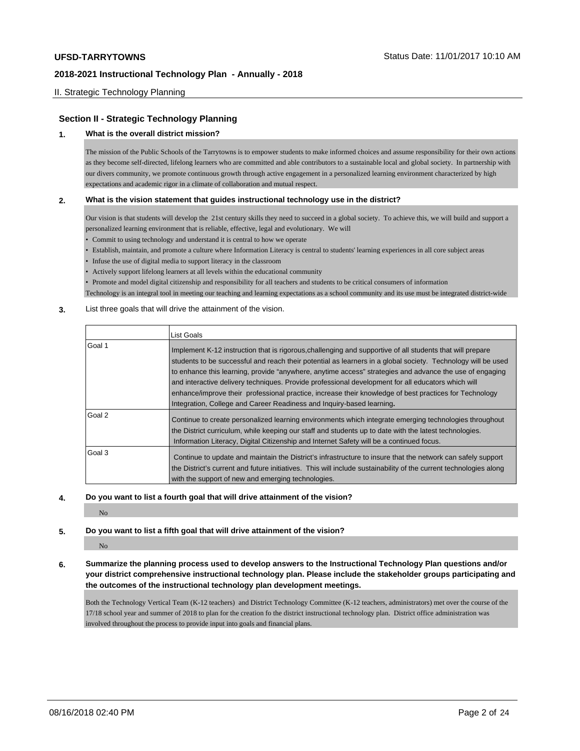# II. Strategic Technology Planning

### **Section II - Strategic Technology Planning**

#### **1. What is the overall district mission?**

The mission of the Public Schools of the Tarrytowns is to empower students to make informed choices and assume responsibility for their own actions as they become self-directed, lifelong learners who are committed and able contributors to a sustainable local and global society. In partnership with our divers community, we promote continuous growth through active engagement in a personalized learning environment characterized by high expectations and academic rigor in a climate of collaboration and mutual respect.

#### **2. What is the vision statement that guides instructional technology use in the district?**

Our vision is that students will develop the 21st century skills they need to succeed in a global society. To achieve this, we will build and support a personalized learning environment that is reliable, effective, legal and evolutionary. We will

- Commit to using technology and understand it is central to how we operate
- Establish, maintain, and promote a culture where Information Literacy is central to students' learning experiences in all core subject areas
- Infuse the use of digital media to support literacy in the classroom
- Actively support lifelong learners at all levels within the educational community

• Promote and model digital citizenship and responsibility for all teachers and students to be critical consumers of information

Technology is an integral tool in meeting our teaching and learning expectations as a school community and its use must be integrated district-wide

### **3.** List three goals that will drive the attainment of the vision.

|        | List Goals                                                                                                                                                                                                                                                                                                                                                                                                                                                                                                                                                                                                                    |
|--------|-------------------------------------------------------------------------------------------------------------------------------------------------------------------------------------------------------------------------------------------------------------------------------------------------------------------------------------------------------------------------------------------------------------------------------------------------------------------------------------------------------------------------------------------------------------------------------------------------------------------------------|
| Goal 1 | Implement K-12 instruction that is rigorous, challenging and supportive of all students that will prepare<br>students to be successful and reach their potential as learners in a global society. Technology will be used<br>to enhance this learning, provide "anywhere, anytime access" strategies and advance the use of engaging<br>and interactive delivery techniques. Provide professional development for all educators which will<br>enhance/improve their professional practice, increase their knowledge of best practices for Technology<br>Integration, College and Career Readiness and Inquiry-based learning. |
| Goal 2 | Continue to create personalized learning environments which integrate emerging technologies throughout<br>the District curriculum, while keeping our staff and students up to date with the latest technologies.<br>Information Literacy, Digital Citizenship and Internet Safety will be a continued focus.                                                                                                                                                                                                                                                                                                                  |
| Goal 3 | Continue to update and maintain the District's infrastructure to insure that the network can safely support<br>the District's current and future initiatives. This will include sustainability of the current technologies along<br>with the support of new and emerging technologies.                                                                                                                                                                                                                                                                                                                                        |

#### **4. Do you want to list a fourth goal that will drive attainment of the vision?**

No

# **5. Do you want to list a fifth goal that will drive attainment of the vision?**

#### No

### **6. Summarize the planning process used to develop answers to the Instructional Technology Plan questions and/or your district comprehensive instructional technology plan. Please include the stakeholder groups participating and the outcomes of the instructional technology plan development meetings.**

Both the Technology Vertical Team (K-12 teachers) and District Technology Committee (K-12 teachers, administrators) met over the course of the 17/18 school year and summer of 2018 to plan for the creation fo the district instructional technology plan. District office administration was involved throughout the process to provide input into goals and financial plans.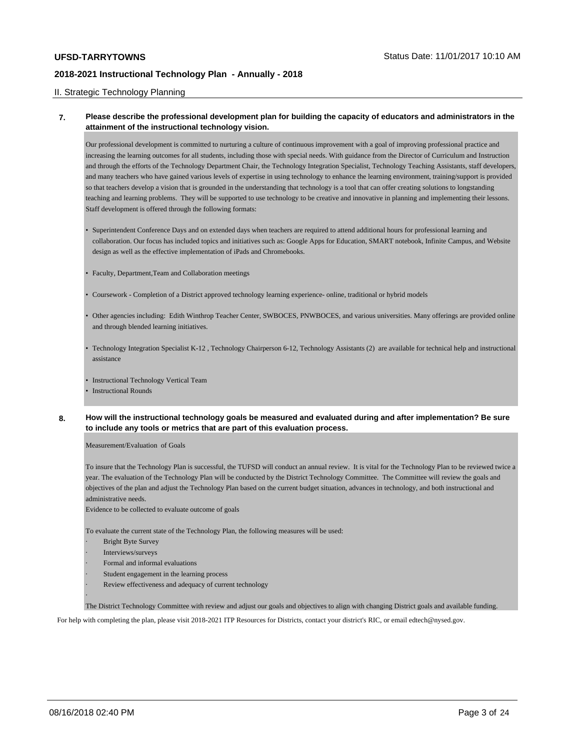#### II. Strategic Technology Planning

### **7. Please describe the professional development plan for building the capacity of educators and administrators in the attainment of the instructional technology vision.**

Our professional development is committed to nurturing a culture of continuous improvement with a goal of improving professional practice and increasing the learning outcomes for all students, including those with special needs. With guidance from the Director of Curriculum and Instruction and through the efforts of the Technology Department Chair, the Technology Integration Specialist, Technology Teaching Assistants, staff developers, and many teachers who have gained various levels of expertise in using technology to enhance the learning environment, training/support is provided so that teachers develop a vision that is grounded in the understanding that technology is a tool that can offer creating solutions to longstanding teaching and learning problems. They will be supported to use technology to be creative and innovative in planning and implementing their lessons. Staff development is offered through the following formats:

- Superintendent Conference Days and on extended days when teachers are required to attend additional hours for professional learning and collaboration. Our focus has included topics and initiatives such as: Google Apps for Education, SMART notebook, Infinite Campus, and Website design as well as the effective implementation of iPads and Chromebooks.
- Faculty, Department,Team and Collaboration meetings
- Coursework Completion of a District approved technology learning experience- online, traditional or hybrid models
- Other agencies including: Edith Winthrop Teacher Center, SWBOCES, PNWBOCES, and various universities. Many offerings are provided online and through blended learning initiatives.
- Technology Integration Specialist K-12 , Technology Chairperson 6-12, Technology Assistants (2) are available for technical help and instructional assistance
- Instructional Technology Vertical Team
- **Instructional Rounds**
- **8. How will the instructional technology goals be measured and evaluated during and after implementation? Be sure to include any tools or metrics that are part of this evaluation process.**

Measurement/Evaluation of Goals

To insure that the Technology Plan is successful, the TUFSD will conduct an annual review. It is vital for the Technology Plan to be reviewed twice a year. The evaluation of the Technology Plan will be conducted by the District Technology Committee. The Committee will review the goals and objectives of the plan and adjust the Technology Plan based on the current budget situation, advances in technology, and both instructional and administrative needs.

Evidence to be collected to evaluate outcome of goals

To evaluate the current state of the Technology Plan, the following measures will be used:

- **Bright Byte Survey**
- Interviews/surveys
- · Formal and informal evaluations
- Student engagement in the learning process
- Review effectiveness and adequacy of current technology

The District Technology Committee with review and adjust our goals and objectives to align with changing District goals and available funding.

For help with completing the plan, please visit 2018-2021 ITP Resources for Districts, contact your district's RIC, or email edtech@nysed.gov.

·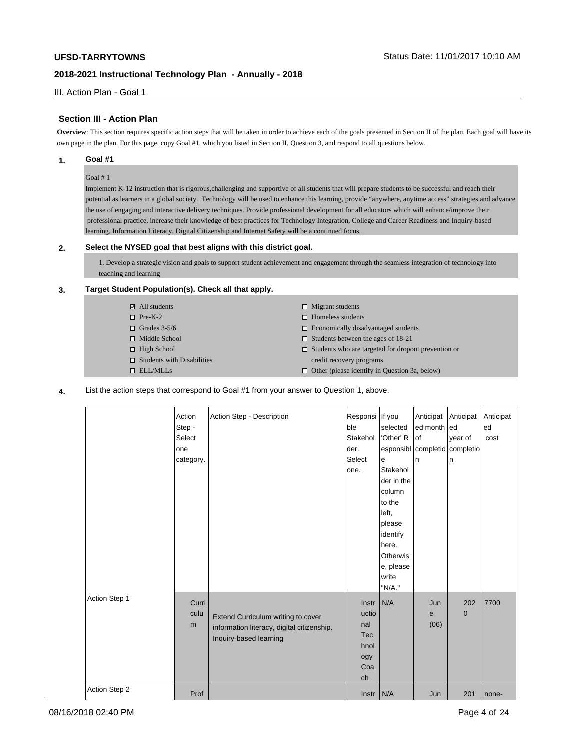III. Action Plan - Goal 1

# **Section III - Action Plan**

**Overview**: This section requires specific action steps that will be taken in order to achieve each of the goals presented in Section II of the plan. Each goal will have its own page in the plan. For this page, copy Goal #1, which you listed in Section II, Question 3, and respond to all questions below.

### **1. Goal #1**

### Goal # 1

Implement K-12 instruction that is rigorous,challenging and supportive of all students that will prepare students to be successful and reach their potential as learners in a global society. Technology will be used to enhance this learning, provide "anywhere, anytime access" strategies and advance the use of engaging and interactive delivery techniques. Provide professional development for all educators which will enhance/improve their professional practice, increase their knowledge of best practices for Technology Integration, College and Career Readiness and Inquiry-based learning, Information Literacy, Digital Citizenship and Internet Safety will be a continued focus.

#### **2. Select the NYSED goal that best aligns with this district goal.**

1. Develop a strategic vision and goals to support student achievement and engagement through the seamless integration of technology into teaching and learning

# **3. Target Student Population(s). Check all that apply.**

| $\boxtimes$ All students          | $\Box$ Migrant students                                    |
|-----------------------------------|------------------------------------------------------------|
| $\Box$ Pre-K-2                    | $\Box$ Homeless students                                   |
| $\Box$ Grades 3-5/6               | $\Box$ Economically disadvantaged students                 |
| $\Box$ Middle School              | $\Box$ Students between the ages of 18-21                  |
| $\Box$ High School                | $\Box$ Students who are targeted for dropout prevention or |
| $\Box$ Students with Disabilities | credit recovery programs                                   |
| $\Box$ ELL/MLLs                   | $\Box$ Other (please identify in Question 3a, below)       |

**4.** List the action steps that correspond to Goal #1 from your answer to Question 1, above.

|               | Action<br>Step -<br>Select<br>one<br>category. | Action Step - Description                                                                                  | Responsi If you<br>ble<br>Stakehol<br>der.<br>Select<br>one.    | selected<br>'Other' R<br>e<br>Stakehol<br>der in the<br>column<br>to the<br>left,<br>please<br>identify<br>here.<br>Otherwis<br>e, please<br>write<br>"N/A." | Anticipat<br>ed month ed<br>of<br>esponsibl completio completio<br>n | Anticipat<br>year of<br>n | Anticipat<br>ed<br>cost |
|---------------|------------------------------------------------|------------------------------------------------------------------------------------------------------------|-----------------------------------------------------------------|--------------------------------------------------------------------------------------------------------------------------------------------------------------|----------------------------------------------------------------------|---------------------------|-------------------------|
| Action Step 1 | Curri<br>culu<br>m                             | Extend Curriculum writing to cover<br>information literacy, digital citizenship.<br>Inquiry-based learning | Instr<br>uctio<br>nal<br><b>Tec</b><br>hnol<br>ogy<br>Coa<br>ch | N/A                                                                                                                                                          | Jun<br>e<br>(06)                                                     | 202<br>0                  | 7700                    |
| Action Step 2 | Prof                                           |                                                                                                            | $Instr$ N/A                                                     |                                                                                                                                                              | Jun                                                                  | 201                       | none-                   |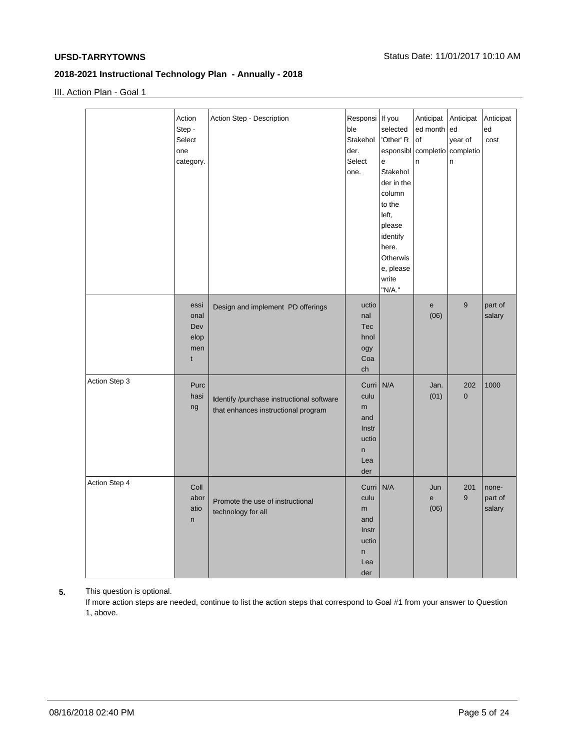III. Action Plan - Goal 1

|               | Action<br>Step -<br>Select<br>one<br>category. | Action Step - Description                                                        | Responsi If you<br>ble<br>Stakehol<br>der.<br>Select<br>one.   | selected<br>'Other' R<br>e<br>Stakehol<br>der in the<br>column<br>to the<br>left,<br>please<br>identify<br>here.<br>Otherwis<br>e, please<br>write<br>"N/A." | Anticipat<br>ed month<br>of<br>n | Anticipat<br>led<br>year of<br>esponsibl completio completio<br>n | Anticipat<br>ed<br>cost    |
|---------------|------------------------------------------------|----------------------------------------------------------------------------------|----------------------------------------------------------------|--------------------------------------------------------------------------------------------------------------------------------------------------------------|----------------------------------|-------------------------------------------------------------------|----------------------------|
|               | essi<br>onal<br>Dev<br>elop<br>men<br>t        | Design and implement PD offerings                                                | uctio<br>nal<br><b>Tec</b><br>hnol<br>ogy<br>Coa<br>ch         |                                                                                                                                                              | e<br>(06)                        | 9                                                                 | part of<br>salary          |
| Action Step 3 | Purc<br>hasi<br>ng                             | Identify /purchase instructional software<br>that enhances instructional program | Curri<br>culu<br>m<br>and<br>Instr<br>uctio<br>n<br>Lea<br>der | N/A                                                                                                                                                          | Jan.<br>(01)                     | 202<br>$\mathbf 0$                                                | 1000                       |
| Action Step 4 | Coll<br>abor<br>atio<br>n                      | Promote the use of instructional<br>technology for all                           | Curri<br>culu<br>m<br>and<br>Instr<br>uctio<br>n<br>Lea<br>der | N/A                                                                                                                                                          | Jun<br>e<br>(06)                 | 201<br>9                                                          | none-<br>part of<br>salary |

**5.** This question is optional.

If more action steps are needed, continue to list the action steps that correspond to Goal #1 from your answer to Question 1, above.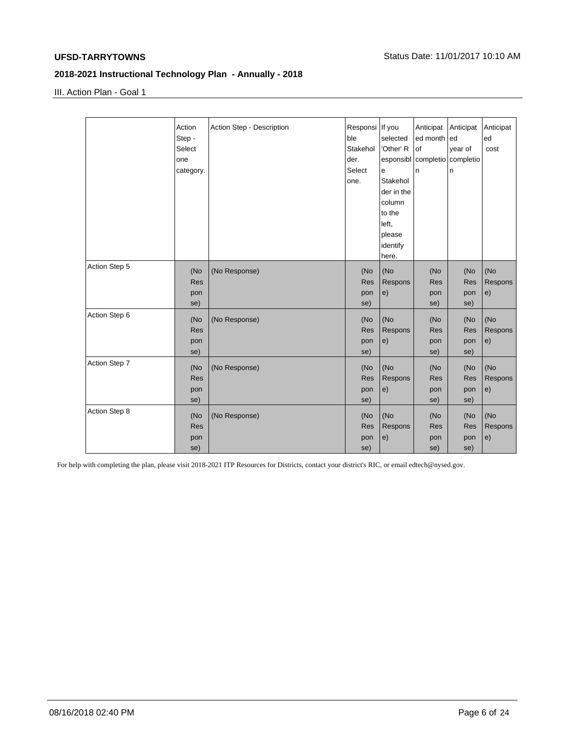III. Action Plan - Goal 1

|               | Action     | Action Step - Description | Responsi If you |            | Anticipat                     | Anticipat  | Anticipat |
|---------------|------------|---------------------------|-----------------|------------|-------------------------------|------------|-----------|
|               | Step -     |                           | ble             | selected   | ed month ed                   |            | ed        |
|               | Select     |                           | Stakehol        | 'Other' R  | lof                           | year of    | cost      |
|               | one        |                           | der.            |            | esponsibl completio completio |            |           |
|               | category.  |                           | Select          | e          | n                             | n          |           |
|               |            |                           | one.            | Stakehol   |                               |            |           |
|               |            |                           |                 | der in the |                               |            |           |
|               |            |                           |                 | column     |                               |            |           |
|               |            |                           |                 | to the     |                               |            |           |
|               |            |                           |                 | left,      |                               |            |           |
|               |            |                           |                 | please     |                               |            |           |
|               |            |                           |                 | identify   |                               |            |           |
|               |            |                           |                 | here.      |                               |            |           |
| Action Step 5 | (No        | (No Response)             | (No             | (No        | (No                           | (No        | (No       |
|               | <b>Res</b> |                           | <b>Res</b>      | Respons    | <b>Res</b>                    | <b>Res</b> | Respons   |
|               | pon        |                           | pon             | e)         | pon                           | pon        | e)        |
|               | se)        |                           | se)             |            | se)                           | se)        |           |
| Action Step 6 |            |                           |                 |            |                               |            |           |
|               | (No        | (No Response)             | (No             | (No        | (No                           | (No        | (No       |
|               | <b>Res</b> |                           | <b>Res</b>      | Respons    | <b>Res</b>                    | <b>Res</b> | Respons   |
|               | pon        |                           | pon             | e)         | pon                           | pon        | e)        |
|               | se)        |                           | se)             |            | se)                           | se)        |           |
| Action Step 7 | (No        | (No Response)             | (No             | (No        | (No                           | (No        | (No       |
|               | <b>Res</b> |                           | Res             | Respons    | <b>Res</b>                    | Res        | Respons   |
|               | pon        |                           | pon             | e)         | pon                           | pon        | e)        |
|               | se)        |                           | se)             |            | se)                           | se)        |           |
| Action Step 8 |            |                           |                 |            |                               |            |           |
|               | (No        | (No Response)             | (No             | (No        | (No                           | (No        | (No       |
|               | <b>Res</b> |                           | Res             | Respons    | <b>Res</b>                    | Res        | Respons   |
|               | pon        |                           | pon             | e)         | pon                           | pon        | e)        |
|               | se)        |                           | se)             |            | se)                           | se)        |           |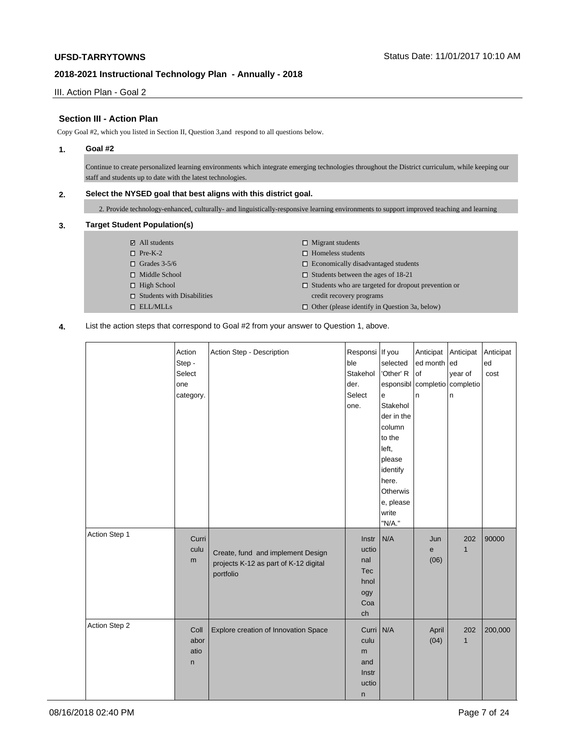III. Action Plan - Goal 2

# **Section III - Action Plan**

Copy Goal #2, which you listed in Section II, Question 3,and respond to all questions below.

### **1. Goal #2**

Continue to create personalized learning environments which integrate emerging technologies throughout the District curriculum, while keeping our staff and students up to date with the latest technologies.

# **2. Select the NYSED goal that best aligns with this district goal.**

2. Provide technology-enhanced, culturally- and linguistically-responsive learning environments to support improved teaching and learning

## **3. Target Student Population(s)**

| $\boxtimes$ All students          | $\Box$ Migrant students                                    |
|-----------------------------------|------------------------------------------------------------|
| $\Box$ Pre-K-2                    | $\Box$ Homeless students                                   |
| $\Box$ Grades 3-5/6               | $\Box$ Economically disadvantaged students                 |
| $\Box$ Middle School              | $\Box$ Students between the ages of 18-21                  |
| $\Box$ High School                | $\Box$ Students who are targeted for dropout prevention or |
| $\Box$ Students with Disabilities | credit recovery programs                                   |
| $\Box$ ELL/MLLs                   | $\Box$ Other (please identify in Question 3a, below)       |

### **4.** List the action steps that correspond to Goal #2 from your answer to Question 1, above.

|               | Action<br>Step -<br>Select<br>one<br>category. | Action Step - Description                                                               | Responsi If you<br>ble<br>Stakehol<br>der.<br>Select<br>one. | selected<br>'Other' R<br>$\mathsf{e}\,$<br>Stakehol<br>der in the<br>column<br>to the<br>left,<br>please<br>identify<br>here.<br>Otherwis<br>e, please<br>write | Anticipat<br>ed month<br>of<br>esponsibl completio<br>n. | Anticipat<br>ed<br>year of<br>completio<br>n | Anticipat<br>ed<br>cost |
|---------------|------------------------------------------------|-----------------------------------------------------------------------------------------|--------------------------------------------------------------|-----------------------------------------------------------------------------------------------------------------------------------------------------------------|----------------------------------------------------------|----------------------------------------------|-------------------------|
| Action Step 1 | Curri<br>culu<br>m                             | Create, fund and implement Design<br>projects K-12 as part of K-12 digital<br>portfolio | Instr<br>uctio<br>nal<br>Tec<br>hnol<br>ogy<br>Coa<br>ch     | "N/A."<br>N/A                                                                                                                                                   | Jun<br>е<br>(06)                                         | 202<br>$\mathbf{1}$                          | 90000                   |
| Action Step 2 | Coll<br>abor<br>atio<br>n                      | Explore creation of Innovation Space                                                    | Curri N/A<br>culu<br>m<br>and<br>Instr<br>uctio<br>n         |                                                                                                                                                                 | April<br>(04)                                            | 202<br>$\mathbf{1}$                          | 200,000                 |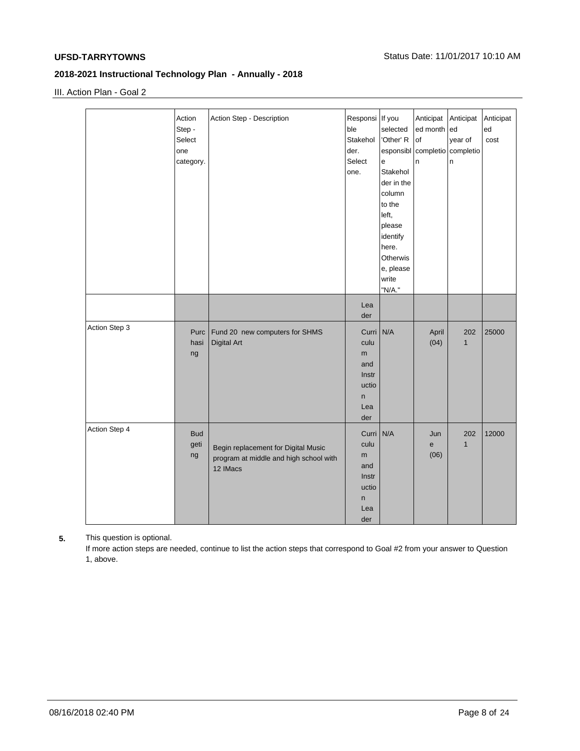III. Action Plan - Goal 2

|               | Action<br>Step -<br>Select<br>one<br>category. | Action Step - Description                                                                 | Responsi If you<br>ble<br>Stakehol<br>der.<br>Select<br>one.             | selected<br>'Other' R<br>e<br>Stakehol<br>der in the<br>column<br>to the<br>left,<br>please<br>identify<br>here.<br>Otherwis<br>e, please<br>write<br>"N/A." | Anticipat<br>ed month<br>of<br>n | Anticipat<br>ed<br>year of<br>esponsibl completio completio<br>n | Anticipat<br>ed<br>cost |
|---------------|------------------------------------------------|-------------------------------------------------------------------------------------------|--------------------------------------------------------------------------|--------------------------------------------------------------------------------------------------------------------------------------------------------------|----------------------------------|------------------------------------------------------------------|-------------------------|
|               |                                                |                                                                                           | Lea<br>der                                                               |                                                                                                                                                              |                                  |                                                                  |                         |
| Action Step 3 | Purc<br>hasi<br>ng                             | Fund 20 new computers for SHMS<br><b>Digital Art</b>                                      | Curri<br>culu<br>m<br>and<br>Instr<br>uctio<br>$\sf n$<br>Lea<br>der     | N/A                                                                                                                                                          | April<br>(04)                    | 202<br>$\mathbf{1}$                                              | 25000                   |
| Action Step 4 | <b>Bud</b><br>geti<br>ng                       | Begin replacement for Digital Music<br>program at middle and high school with<br>12 IMacs | Curri N/A<br>culu<br>m<br>and<br>Instr<br>uctio<br>$\sf n$<br>Lea<br>der |                                                                                                                                                              | Jun<br>e<br>(06)                 | 202<br>$\mathbf{1}$                                              | 12000                   |

# **5.** This question is optional.

If more action steps are needed, continue to list the action steps that correspond to Goal #2 from your answer to Question 1, above.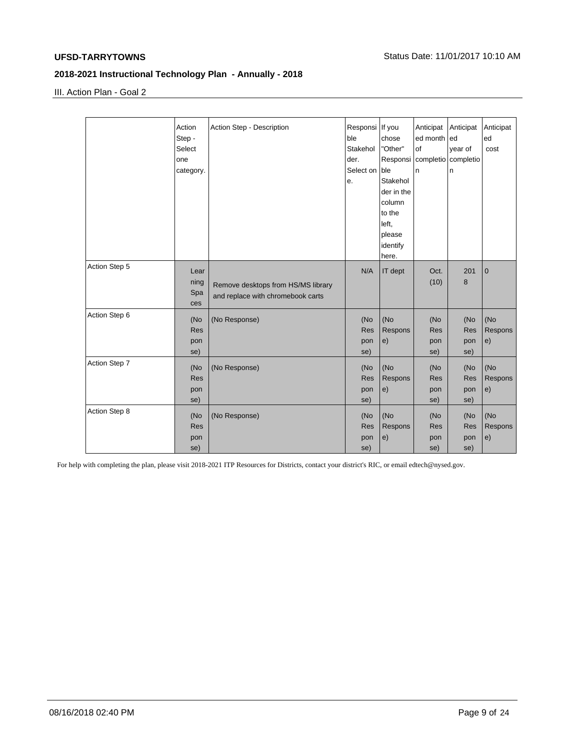III. Action Plan - Goal 2

|               | Action<br>Step -<br>Select<br>one<br>category. | Action Step - Description                                               | Responsi   If you<br>ble<br>Stakehol<br>der.<br>Select on<br>е. | chose<br>"Other"<br>Responsi<br>ble<br>Stakehol<br>der in the<br>column<br>to the<br>left,<br>please<br>identify<br>here. | Anticipat<br>ed month<br>of<br>completio completio<br>n | Anticipat<br>led<br>year of<br>n | Anticipat<br>ed<br>cost |
|---------------|------------------------------------------------|-------------------------------------------------------------------------|-----------------------------------------------------------------|---------------------------------------------------------------------------------------------------------------------------|---------------------------------------------------------|----------------------------------|-------------------------|
| Action Step 5 | Lear<br>ning<br>Spa<br>ces                     | Remove desktops from HS/MS library<br>and replace with chromebook carts | N/A                                                             | IT dept                                                                                                                   | Oct.<br>(10)                                            | 201<br>8                         | $\mathbf 0$             |
| Action Step 6 | (No<br><b>Res</b><br>pon<br>se)                | (No Response)                                                           | (No<br>Res<br>pon<br>se)                                        | (No<br>Respons<br>e)                                                                                                      | (No<br><b>Res</b><br>pon<br>se)                         | (No<br>Res<br>pon<br>se)         | (No<br>Respons<br>e)    |
| Action Step 7 | (No<br><b>Res</b><br>pon<br>se)                | (No Response)                                                           | (No<br>Res<br>pon<br>se)                                        | (No<br>Respons<br>e)                                                                                                      | (No<br><b>Res</b><br>pon<br>se)                         | (No<br>Res<br>pon<br>se)         | (No<br>Respons<br>e)    |
| Action Step 8 | (No<br><b>Res</b><br>pon<br>se)                | (No Response)                                                           | (No<br>Res<br>pon<br>se)                                        | (No<br>Respons<br>e)                                                                                                      | (No<br><b>Res</b><br>pon<br>se)                         | (No<br>Res<br>pon<br>se)         | (No<br>Respons<br>e)    |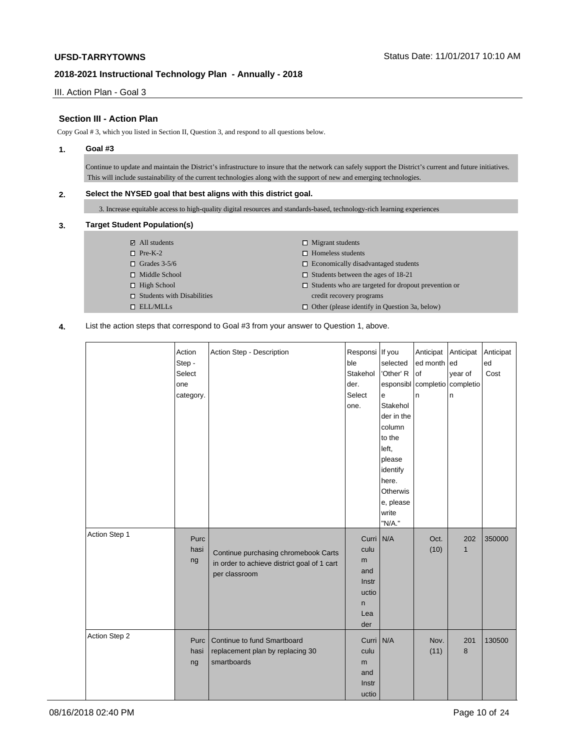III. Action Plan - Goal 3

# **Section III - Action Plan**

Copy Goal # 3, which you listed in Section II, Question 3, and respond to all questions below.

#### **1. Goal #3**

Continue to update and maintain the District's infrastructure to insure that the network can safely support the District's current and future initiatives. This will include sustainability of the current technologies along with the support of new and emerging technologies.

# **2. Select the NYSED goal that best aligns with this district goal.**

3. Increase equitable access to high-quality digital resources and standards-based, technology-rich learning experiences

## **3. Target Student Population(s)**

| $\boxtimes$ All students          | $\Box$ Migrant students                                    |
|-----------------------------------|------------------------------------------------------------|
| $\Box$ Pre-K-2                    | $\Box$ Homeless students                                   |
| $\Box$ Grades 3-5/6               | $\Box$ Economically disadvantaged students                 |
| $\Box$ Middle School              | $\Box$ Students between the ages of 18-21                  |
| $\Box$ High School                | $\Box$ Students who are targeted for dropout prevention or |
| $\Box$ Students with Disabilities | credit recovery programs                                   |
| $\Box$ ELL/MLLs                   | $\Box$ Other (please identify in Question 3a, below)       |

**4.** List the action steps that correspond to Goal #3 from your answer to Question 1, above.

|               | Action<br>Step -<br>Select<br>one<br>category. | Action Step - Description                                                                            | Responsi If you<br>ble<br>Stakehol<br>der.<br>Select<br>one.       | selected<br>'Other' R<br>e<br>Stakehol<br>der in the<br>column<br>to the<br>left,<br>please<br>identify<br>here.<br>Otherwis<br>e, please<br>write<br>"N/A." | Anticipat<br>ed month<br>of<br>esponsibl completio<br>n | Anticipat<br>ed<br>year of<br>completio<br>n | Anticipat<br>ed<br>Cost |
|---------------|------------------------------------------------|------------------------------------------------------------------------------------------------------|--------------------------------------------------------------------|--------------------------------------------------------------------------------------------------------------------------------------------------------------|---------------------------------------------------------|----------------------------------------------|-------------------------|
| Action Step 1 | Purc<br>hasi<br>ng                             | Continue purchasing chromebook Carts<br>in order to achieve district goal of 1 cart<br>per classroom | Curri N/A<br>culu<br>m<br>and<br>Instr<br>uctio<br>n<br>Lea<br>der |                                                                                                                                                              | Oct.<br>(10)                                            | 202<br>$\mathbf{1}$                          | 350000                  |
| Action Step 2 | Purc  <br>hasi<br>ng                           | Continue to fund Smartboard<br>replacement plan by replacing 30<br>smartboards                       | Curri N/A<br>culu<br>m<br>and<br>Instr<br>uctio                    |                                                                                                                                                              | Nov.<br>(11)                                            | 201<br>8                                     | 130500                  |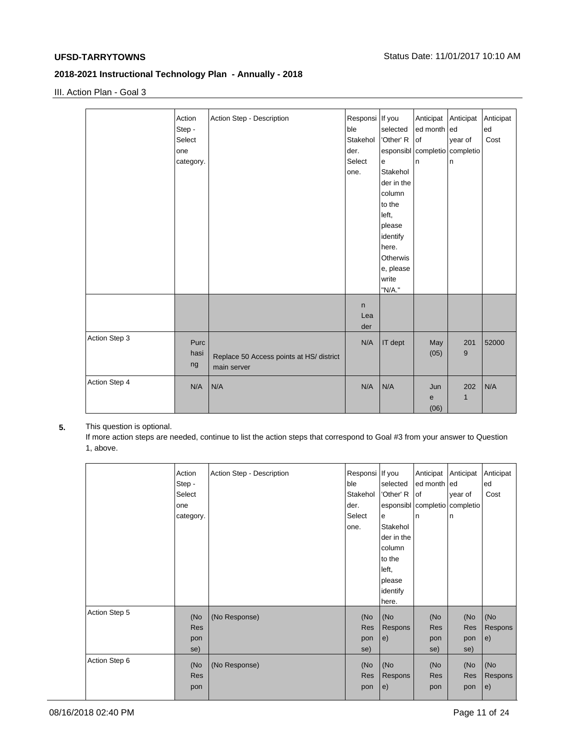III. Action Plan - Goal 3

|               | Action<br>Step -<br>Select<br>one<br>category. | Action Step - Description                               | Responsi If you<br>ble<br>Stakehol<br>der.<br>Select<br>one. | selected<br>'Other' R<br>e<br>Stakehol<br>der in the<br>column<br>to the<br>left,<br>please<br>identify<br>here.<br>Otherwis<br>e, please<br>write<br>"N/A." | Anticipat<br>ed month ed<br>lof<br>esponsibl completio completio<br>In | Anticipat<br>year of<br>n | Anticipat<br>ed<br>Cost |
|---------------|------------------------------------------------|---------------------------------------------------------|--------------------------------------------------------------|--------------------------------------------------------------------------------------------------------------------------------------------------------------|------------------------------------------------------------------------|---------------------------|-------------------------|
|               |                                                |                                                         | n<br>Lea<br>der                                              |                                                                                                                                                              |                                                                        |                           |                         |
| Action Step 3 | Purc<br>hasi<br>ng                             | Replace 50 Access points at HS/ district<br>main server | N/A                                                          | IT dept                                                                                                                                                      | May<br>(05)                                                            | 201<br>9                  | 52000                   |
| Action Step 4 | N/A                                            | N/A                                                     | N/A                                                          | N/A                                                                                                                                                          | Jun<br>e<br>(06)                                                       | 202<br>$\mathbf 1$        | N/A                     |

# **5.** This question is optional.

If more action steps are needed, continue to list the action steps that correspond to Goal #3 from your answer to Question 1, above.

|               | Action<br>Step -<br>Select<br>one<br>category. | Action Step - Description | Responsi   If you<br>ble<br>Stakehol<br>der.<br>Select<br>one. | selected<br>'Other' R<br>e<br>Stakehol<br>der in the<br>column<br>to the<br>left,<br>please<br>identify<br>here. | Anticipat<br>ed month ed<br>lof<br>In | Anticipat<br>year of<br>esponsibl completio completio<br>n | Anticipat<br>ed<br>Cost |
|---------------|------------------------------------------------|---------------------------|----------------------------------------------------------------|------------------------------------------------------------------------------------------------------------------|---------------------------------------|------------------------------------------------------------|-------------------------|
| Action Step 5 | (No<br>Res<br>pon<br>se)                       | (No Response)             | (No<br>Res<br>pon<br>se)                                       | (No<br>Respons<br>e)                                                                                             | (No<br>Res<br>pon<br>se)              | (No<br>Res<br>pon<br>se)                                   | (No<br>Respons<br>e)    |
| Action Step 6 | (No<br>Res<br>pon                              | (No Response)             | (No<br>Res<br>pon                                              | (No<br>Respons<br>e)                                                                                             | (No<br>Res<br>pon                     | (No<br>Res<br>pon                                          | (No<br>Respons<br>e)    |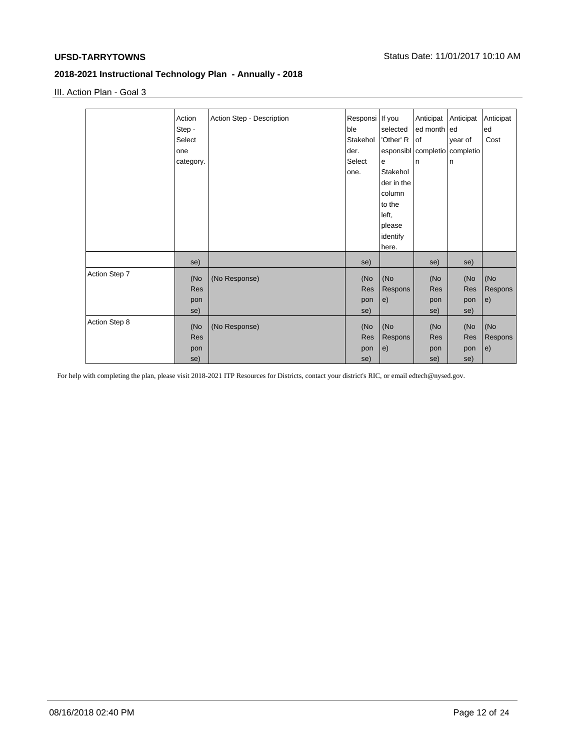III. Action Plan - Goal 3

|               | Action     | Action Step - Description | Responsi If you |            | Anticipat                     | Anticipat | Anticipat |
|---------------|------------|---------------------------|-----------------|------------|-------------------------------|-----------|-----------|
|               | Step -     |                           | ble             | selected   | ed month ed                   |           | ed        |
|               | Select     |                           | Stakehol        | 'Other' R  | lof                           | year of   | Cost      |
|               | one        |                           | der.            |            | esponsibl completio completio |           |           |
|               | category.  |                           | Select          | e          | l n                           | ln.       |           |
|               |            |                           | one.            | Stakehol   |                               |           |           |
|               |            |                           |                 | der in the |                               |           |           |
|               |            |                           |                 | column     |                               |           |           |
|               |            |                           |                 | to the     |                               |           |           |
|               |            |                           |                 | left,      |                               |           |           |
|               |            |                           |                 | please     |                               |           |           |
|               |            |                           |                 | identify   |                               |           |           |
|               |            |                           |                 | here.      |                               |           |           |
|               | se)        |                           | se)             |            | se)                           | se)       |           |
| Action Step 7 | (No        | (No Response)             | (No             | (No        | (No                           | (No       | (No       |
|               | <b>Res</b> |                           | Res             | Respons    | <b>Res</b>                    | Res       | Respons   |
|               | pon        |                           | pon             | e)         | pon                           | pon       | e)        |
|               | se)        |                           | se)             |            | se)                           | se)       |           |
| Action Step 8 | (No        | (No Response)             | (No             | (No        | (No                           | (No       | (No       |
|               | <b>Res</b> |                           | Res             | Respons    | <b>Res</b>                    | Res       | Respons   |
|               | pon        |                           | pon             | e)         | pon                           | pon       | e)        |
|               | se)        |                           | se)             |            | se)                           | se)       |           |
|               |            |                           |                 |            |                               |           |           |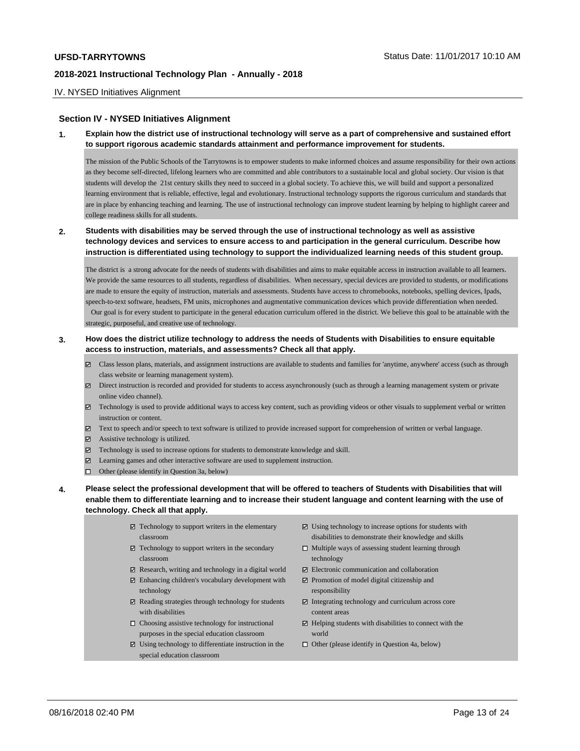#### IV. NYSED Initiatives Alignment

#### **Section IV - NYSED Initiatives Alignment**

**1. Explain how the district use of instructional technology will serve as a part of comprehensive and sustained effort to support rigorous academic standards attainment and performance improvement for students.**

The mission of the Public Schools of the Tarrytowns is to empower students to make informed choices and assume responsibility for their own actions as they become self-directed, lifelong learners who are committed and able contributors to a sustainable local and global society. Our vision is that students will develop the 21st century skills they need to succeed in a global society. To achieve this, we will build and support a personalized learning environment that is reliable, effective, legal and evolutionary. Instructional technology supports the rigorous curriculum and standards that are in place by enhancing teaching and learning. The use of instructional technology can improve student learning by helping to highlight career and college readiness skills for all students.

## **2. Students with disabilities may be served through the use of instructional technology as well as assistive technology devices and services to ensure access to and participation in the general curriculum. Describe how instruction is differentiated using technology to support the individualized learning needs of this student group.**

The district is a strong advocate for the needs of students with disabilities and aims to make equitable access in instruction available to all learners. We provide the same resources to all students, regardless of disabilities. When necessary, special devices are provided to students, or modifications are made to ensure the equity of instruction, materials and assessments. Students have access to chromebooks, notebooks, spelling devices, Ipads, speech-to-text software, headsets, FM units, microphones and augmentative communication devices which provide differentiation when needed. Our goal is for every student to participate in the general education curriculum offered in the district. We believe this goal to be attainable with the strategic, purposeful, and creative use of technology.

### **3. How does the district utilize technology to address the needs of Students with Disabilities to ensure equitable access to instruction, materials, and assessments? Check all that apply.**

- Class lesson plans, materials, and assignment instructions are available to students and families for 'anytime, anywhere' access (such as through class website or learning management system).
- $\boxtimes$  Direct instruction is recorded and provided for students to access asynchronously (such as through a learning management system or private online video channel).
- Technology is used to provide additional ways to access key content, such as providing videos or other visuals to supplement verbal or written instruction or content.
- Text to speech and/or speech to text software is utilized to provide increased support for comprehension of written or verbal language.
- Assistive technology is utilized.
- Technology is used to increase options for students to demonstrate knowledge and skill.
- $\boxtimes$  Learning games and other interactive software are used to supplement instruction.
- $\Box$  Other (please identify in Question 3a, below)
- **4. Please select the professional development that will be offered to teachers of Students with Disabilities that will enable them to differentiate learning and to increase their student language and content learning with the use of technology. Check all that apply.**
	- $\boxtimes$  Technology to support writers in the elementary classroom
	- $\boxtimes$  Technology to support writers in the secondary classroom
	- Research, writing and technology in a digital world
	- Enhancing children's vocabulary development with technology
	- $\boxtimes$  Reading strategies through technology for students with disabilities
	- $\Box$  Choosing assistive technology for instructional purposes in the special education classroom
	- $\boxtimes$  Using technology to differentiate instruction in the special education classroom
- Using technology to increase options for students with disabilities to demonstrate their knowledge and skills
- $\square$  Multiple ways of assessing student learning through technology
- Electronic communication and collaboration
- Promotion of model digital citizenship and responsibility
- $\boxtimes$  Integrating technology and curriculum across core content areas
- $\boxtimes$  Helping students with disabilities to connect with the world
- $\Box$  Other (please identify in Question 4a, below)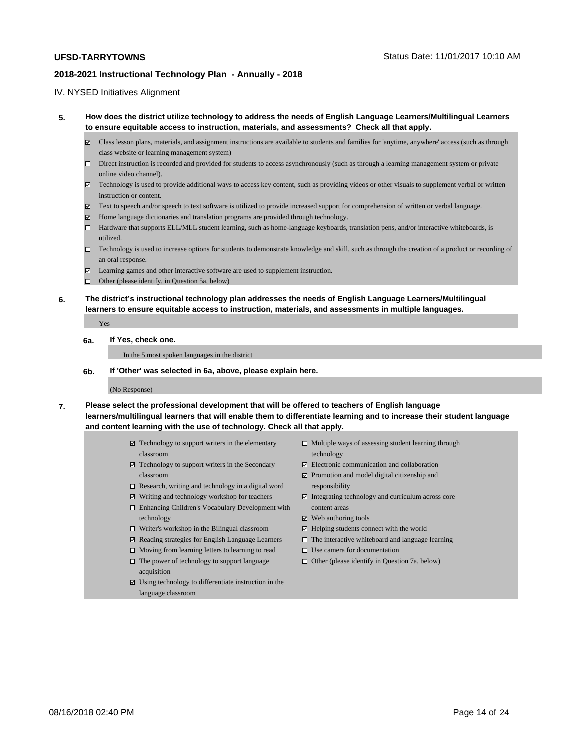#### IV. NYSED Initiatives Alignment

- **5. How does the district utilize technology to address the needs of English Language Learners/Multilingual Learners to ensure equitable access to instruction, materials, and assessments? Check all that apply.** 
	- Class lesson plans, materials, and assignment instructions are available to students and families for 'anytime, anywhere' access (such as through class website or learning management system)
	- $\square$  Direct instruction is recorded and provided for students to access asynchronously (such as through a learning management system or private online video channel).
	- $\boxtimes$  Technology is used to provide additional ways to access key content, such as providing videos or other visuals to supplement verbal or written instruction or content.
	- $\boxtimes$  Text to speech and/or speech to text software is utilized to provide increased support for comprehension of written or verbal language.
	- Home language dictionaries and translation programs are provided through technology.
	- $\Box$  Hardware that supports ELL/MLL student learning, such as home-language keyboards, translation pens, and/or interactive whiteboards, is utilized.
	- Technology is used to increase options for students to demonstrate knowledge and skill, such as through the creation of a product or recording of an oral response.
	- Learning games and other interactive software are used to supplement instruction.
	- □ Other (please identify, in Question 5a, below)
- **6. The district's instructional technology plan addresses the needs of English Language Learners/Multilingual learners to ensure equitable access to instruction, materials, and assessments in multiple languages.**

Yes

#### **6a. If Yes, check one.**

In the 5 most spoken languages in the district

**6b. If 'Other' was selected in 6a, above, please explain here.**

#### (No Response)

- **7. Please select the professional development that will be offered to teachers of English language learners/multilingual learners that will enable them to differentiate learning and to increase their student language and content learning with the use of technology. Check all that apply.**
	- $\boxtimes$  Technology to support writers in the elementary classroom
	- Technology to support writers in the Secondary classroom
	- $\Box$  Research, writing and technology in a digital word
	- Writing and technology workshop for teachers
	- □ Enhancing Children's Vocabulary Development with technology
	- $\Box$  Writer's workshop in the Bilingual classroom
	- $□$  Reading strategies for English Language Learners
	- $\Box$  Moving from learning letters to learning to read
	- $\Box$  The power of technology to support language acquisition
	- Using technology to differentiate instruction in the language classroom
- $\Box$  Multiple ways of assessing student learning through technology
- Electronic communication and collaboration
- Promotion and model digital citizenship and responsibility
- Integrating technology and curriculum across core content areas
- $\boxtimes$  Web authoring tools
- $\boxtimes$  Helping students connect with the world
- $\square$  The interactive whiteboard and language learning
- $\square$  Use camera for documentation
- $\Box$  Other (please identify in Question 7a, below)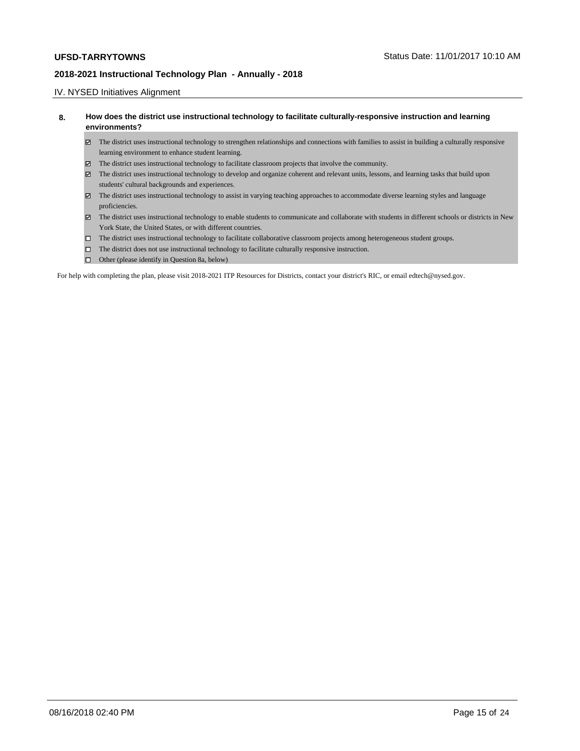### IV. NYSED Initiatives Alignment

### **8. How does the district use instructional technology to facilitate culturally-responsive instruction and learning environments?**

- The district uses instructional technology to strengthen relationships and connections with families to assist in building a culturally responsive learning environment to enhance student learning.
- The district uses instructional technology to facilitate classroom projects that involve the community.
- The district uses instructional technology to develop and organize coherent and relevant units, lessons, and learning tasks that build upon students' cultural backgrounds and experiences.
- The district uses instructional technology to assist in varying teaching approaches to accommodate diverse learning styles and language proficiencies.
- The district uses instructional technology to enable students to communicate and collaborate with students in different schools or districts in New York State, the United States, or with different countries.
- The district uses instructional technology to facilitate collaborative classroom projects among heterogeneous student groups.
- $\hfill\Box$  The district does not use instructional technology to facilitate culturally responsive instruction.
- □ Other (please identify in Question 8a, below)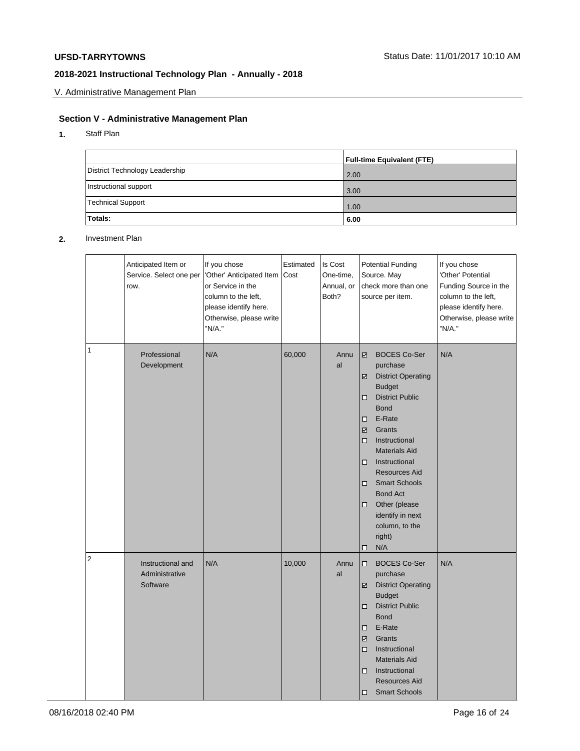V. Administrative Management Plan

# **Section V - Administrative Management Plan**

**1.** Staff Plan

|                                | <b>Full-time Equivalent (FTE)</b> |
|--------------------------------|-----------------------------------|
| District Technology Leadership | 2.00                              |
| Instructional support          | 3.00                              |
| Technical Support              | 1.00                              |
| Totals:                        | 6.00                              |

#### **2.** Investment Plan

|                | Anticipated Item or<br>Service. Select one per<br>row. | If you chose<br>'Other' Anticipated Item<br>or Service in the<br>column to the left,<br>please identify here.<br>Otherwise, please write<br>"N/A." | Estimated<br> Cost | Is Cost<br>One-time.<br>Annual, or<br>Both? | <b>Potential Funding</b><br>Source. May<br>check more than one<br>source per item.                                                                                                                                                                                                                                                                                                                     | If you chose<br>'Other' Potential<br>Funding Source in the<br>column to the left,<br>please identify here.<br>Otherwise, please write<br>"N/A." |
|----------------|--------------------------------------------------------|----------------------------------------------------------------------------------------------------------------------------------------------------|--------------------|---------------------------------------------|--------------------------------------------------------------------------------------------------------------------------------------------------------------------------------------------------------------------------------------------------------------------------------------------------------------------------------------------------------------------------------------------------------|-------------------------------------------------------------------------------------------------------------------------------------------------|
| 1              | Professional<br>Development                            | N/A                                                                                                                                                | 60,000             | Annu<br>al                                  | <b>BOCES Co-Ser</b><br>☑<br>purchase<br><b>District Operating</b><br>☑<br><b>Budget</b><br><b>District Public</b><br>□<br><b>Bond</b><br>E-Rate<br>□<br>Grants<br>☑<br>Instructional<br>$\Box$<br><b>Materials Aid</b><br>Instructional<br>□<br><b>Resources Aid</b><br><b>Smart Schools</b><br>□<br><b>Bond Act</b><br>Other (please<br>□<br>identify in next<br>column, to the<br>right)<br>N/A<br>□ | N/A                                                                                                                                             |
| $\overline{2}$ | Instructional and<br>Administrative<br>Software        | N/A                                                                                                                                                | 10,000             | Annu<br>al                                  | <b>BOCES Co-Ser</b><br>□<br>purchase<br><b>District Operating</b><br>☑<br><b>Budget</b><br><b>District Public</b><br>□<br><b>Bond</b><br>E-Rate<br>□<br>Grants<br>☑<br>Instructional<br>□<br><b>Materials Aid</b><br>Instructional<br>□<br><b>Resources Aid</b><br><b>Smart Schools</b><br>□                                                                                                           | N/A                                                                                                                                             |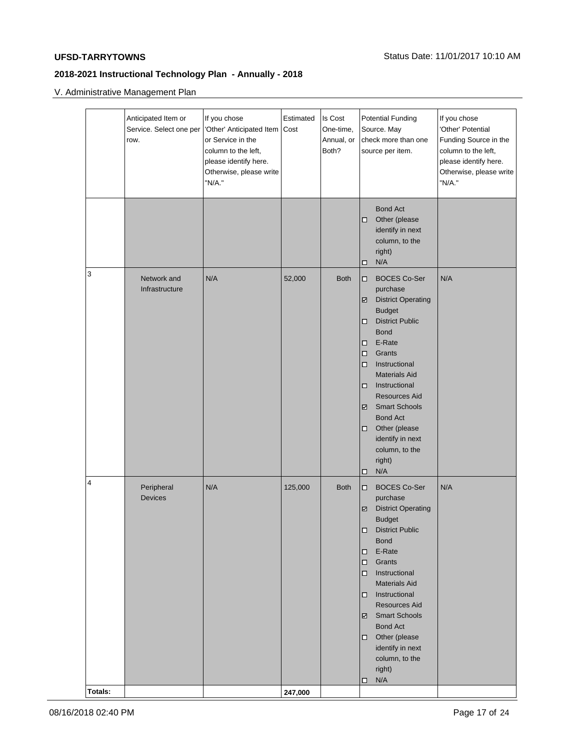V. Administrative Management Plan

|              | Anticipated Item or<br>Service. Select one per<br>row. | If you chose<br>'Other' Anticipated Item<br>or Service in the<br>column to the left,<br>please identify here.<br>Otherwise, please write<br>"N/A." | Estimated<br>Cost  | Is Cost<br>One-time,<br>Annual, or<br>Both? | <b>Potential Funding</b><br>Source. May<br>check more than one<br>source per item.                                                                                                                                                                                                                                                                                                                               | If you chose<br>'Other' Potential<br>Funding Source in the<br>column to the left,<br>please identify here.<br>Otherwise, please write<br>"N/A." |
|--------------|--------------------------------------------------------|----------------------------------------------------------------------------------------------------------------------------------------------------|--------------------|---------------------------------------------|------------------------------------------------------------------------------------------------------------------------------------------------------------------------------------------------------------------------------------------------------------------------------------------------------------------------------------------------------------------------------------------------------------------|-------------------------------------------------------------------------------------------------------------------------------------------------|
|              |                                                        |                                                                                                                                                    |                    |                                             | <b>Bond Act</b><br>Other (please<br>◻<br>identify in next<br>column, to the<br>right)<br>N/A<br>□                                                                                                                                                                                                                                                                                                                |                                                                                                                                                 |
| 3            | Network and<br>Infrastructure                          | N/A                                                                                                                                                | 52,000             | <b>Both</b>                                 | <b>BOCES Co-Ser</b><br>$\Box$<br>purchase<br><b>District Operating</b><br>☑<br><b>Budget</b><br><b>District Public</b><br>□<br><b>Bond</b><br>E-Rate<br>□<br>Grants<br>$\Box$<br>Instructional<br>$\Box$<br><b>Materials Aid</b><br>Instructional<br>□<br><b>Resources Aid</b><br><b>Smart Schools</b><br>☑<br><b>Bond Act</b><br>Other (please<br>□<br>identify in next<br>column, to the<br>right)<br>N/A<br>□ | N/A                                                                                                                                             |
| 4<br>Totals: | Peripheral<br><b>Devices</b>                           | N/A                                                                                                                                                | 125,000<br>247,000 | <b>Both</b>                                 | <b>BOCES Co-Ser</b><br>$\Box$<br>purchase<br><b>District Operating</b><br>☑<br><b>Budget</b><br>District Public<br><b>Bond</b><br>E-Rate<br>$\Box$<br>Grants<br>$\Box$<br>Instructional<br>$\Box$<br><b>Materials Aid</b><br>Instructional<br>◻<br><b>Resources Aid</b><br><b>Smart Schools</b><br>☑<br><b>Bond Act</b><br>Other (please<br>$\Box$<br>identify in next<br>column, to the<br>right)<br>N/A<br>◻   | N/A                                                                                                                                             |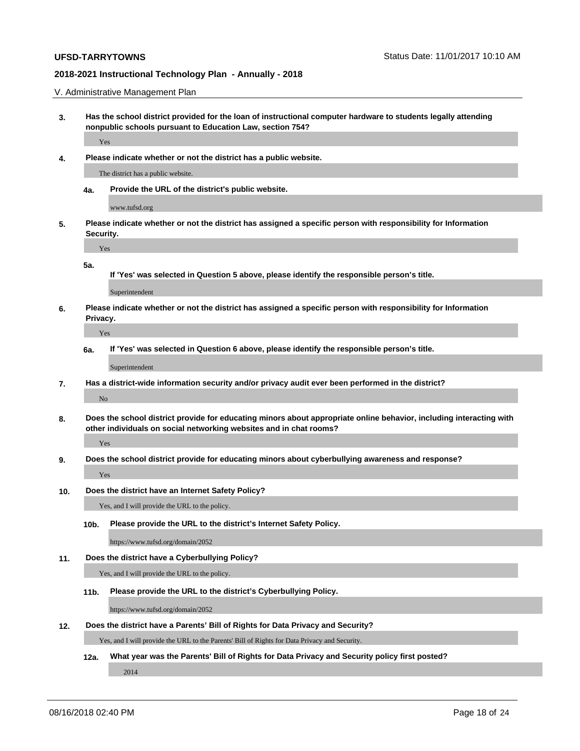V. Administrative Management Plan

- **3. Has the school district provided for the loan of instructional computer hardware to students legally attending nonpublic schools pursuant to Education Law, section 754?** Yes
- **4. Please indicate whether or not the district has a public website.**

The district has a public website.

**4a. Provide the URL of the district's public website.**

www.tufsd.org

**5. Please indicate whether or not the district has assigned a specific person with responsibility for Information Security.**

**5a.**

Yes

**If 'Yes' was selected in Question 5 above, please identify the responsible person's title.**

Superintendent

**6. Please indicate whether or not the district has assigned a specific person with responsibility for Information Privacy.**

Yes

**6a. If 'Yes' was selected in Question 6 above, please identify the responsible person's title.**

Superintendent

- **7. Has a district-wide information security and/or privacy audit ever been performed in the district?** No
- **8. Does the school district provide for educating minors about appropriate online behavior, including interacting with other individuals on social networking websites and in chat rooms?**

Yes

Yes

**9. Does the school district provide for educating minors about cyberbullying awareness and response?**

**10. Does the district have an Internet Safety Policy?**

Yes, and I will provide the URL to the policy.

**10b. Please provide the URL to the district's Internet Safety Policy.**

https://www.tufsd.org/domain/2052

**11. Does the district have a Cyberbullying Policy?**

Yes, and I will provide the URL to the policy.

**11b. Please provide the URL to the district's Cyberbullying Policy.**

https://www.tufsd.org/domain/2052

#### **12. Does the district have a Parents' Bill of Rights for Data Privacy and Security?**

Yes, and I will provide the URL to the Parents' Bill of Rights for Data Privacy and Security.

**12a. What year was the Parents' Bill of Rights for Data Privacy and Security policy first posted?**

2014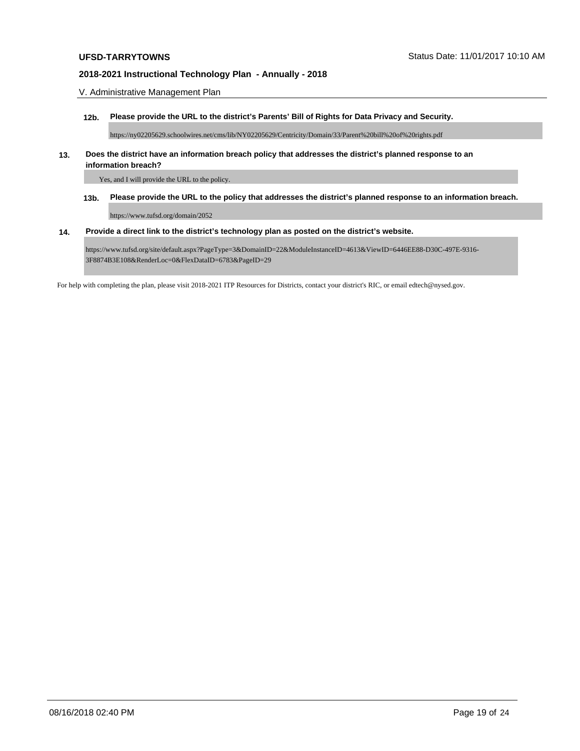V. Administrative Management Plan

**12b. Please provide the URL to the district's Parents' Bill of Rights for Data Privacy and Security.**

https://ny02205629.schoolwires.net/cms/lib/NY02205629/Centricity/Domain/33/Parent%20bill%20of%20rights.pdf

#### **13. Does the district have an information breach policy that addresses the district's planned response to an information breach?**

Yes, and I will provide the URL to the policy.

**13b. Please provide the URL to the policy that addresses the district's planned response to an information breach.**

https://www.tufsd.org/domain/2052

#### **14. Provide a direct link to the district's technology plan as posted on the district's website.**

https://www.tufsd.org/site/default.aspx?PageType=3&DomainID=22&ModuleInstanceID=4613&ViewID=6446EE88-D30C-497E-9316- 3F8874B3E108&RenderLoc=0&FlexDataID=6783&PageID=29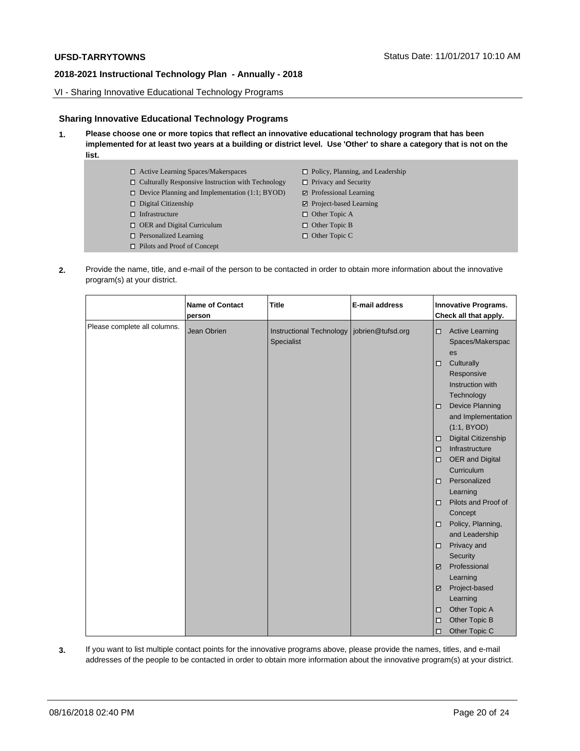VI - Sharing Innovative Educational Technology Programs

## **Sharing Innovative Educational Technology Programs**

**1. Please choose one or more topics that reflect an innovative educational technology program that has been implemented for at least two years at a building or district level. Use 'Other' to share a category that is not on the list.**

| $\Box$ Active Learning Spaces/Makerspaces                | $\Box$ Policy, Planning, and Leadership |
|----------------------------------------------------------|-----------------------------------------|
| $\Box$ Culturally Responsive Instruction with Technology | $\Box$ Privacy and Security             |
| $\Box$ Device Planning and Implementation (1:1; BYOD)    | $\triangleright$ Professional Learning  |
| $\Box$ Digital Citizenship                               | $\boxtimes$ Project-based Learning      |
| $\Box$ Infrastructure                                    | $\Box$ Other Topic A                    |
| $\Box$ OER and Digital Curriculum                        | $\Box$ Other Topic B                    |
| $\Box$ Personalized Learning                             | $\Box$ Other Topic C                    |
| $\Box$ Pilots and Proof of Concept                       |                                         |

**2.** Provide the name, title, and e-mail of the person to be contacted in order to obtain more information about the innovative program(s) at your district.

|                              | <b>Name of Contact</b><br>person | <b>Title</b>                                               | E-mail address | Innovative Programs.<br>Check all that apply.                         |
|------------------------------|----------------------------------|------------------------------------------------------------|----------------|-----------------------------------------------------------------------|
| Please complete all columns. | Jean Obrien                      | Instructional Technology   jobrien@tufsd.org<br>Specialist |                | <b>Active Learning</b><br>□<br>Spaces/Makerspac<br>es                 |
|                              |                                  |                                                            |                | Culturally<br>□<br>Responsive<br>Instruction with<br>Technology       |
|                              |                                  |                                                            |                | <b>Device Planning</b><br>$\Box$<br>and Implementation<br>(1:1, BYOD) |
|                              |                                  |                                                            |                | <b>Digital Citizenship</b><br>□                                       |
|                              |                                  |                                                            |                | Infrastructure<br>$\Box$                                              |
|                              |                                  |                                                            |                | OER and Digital<br>□                                                  |
|                              |                                  |                                                            |                | Curriculum                                                            |
|                              |                                  |                                                            |                | Personalized<br>$\Box$                                                |
|                              |                                  |                                                            |                | Learning                                                              |
|                              |                                  |                                                            |                | Pilots and Proof of<br>□<br>Concept                                   |
|                              |                                  |                                                            |                | Policy, Planning,<br>□                                                |
|                              |                                  |                                                            |                | and Leadership                                                        |
|                              |                                  |                                                            |                | Privacy and<br>□                                                      |
|                              |                                  |                                                            |                | Security                                                              |
|                              |                                  |                                                            |                | Professional<br>M                                                     |
|                              |                                  |                                                            |                | Learning                                                              |
|                              |                                  |                                                            |                | Project-based<br>☑                                                    |
|                              |                                  |                                                            |                | Learning                                                              |
|                              |                                  |                                                            |                | Other Topic A<br>◻                                                    |
|                              |                                  |                                                            |                | Other Topic B<br>□                                                    |
|                              |                                  |                                                            |                | Other Topic C<br>□                                                    |

**3.** If you want to list multiple contact points for the innovative programs above, please provide the names, titles, and e-mail addresses of the people to be contacted in order to obtain more information about the innovative program(s) at your district.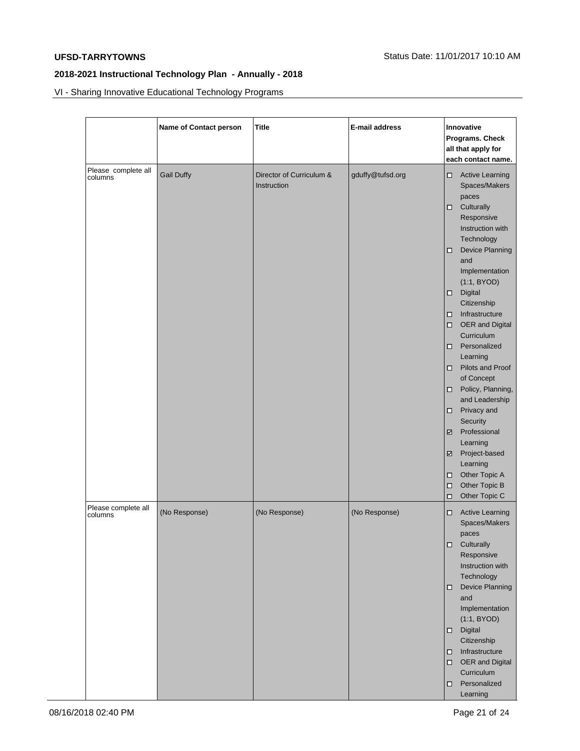VI - Sharing Innovative Educational Technology Programs

|                                | Name of Contact person | <b>Title</b>                            | E-mail address   | Innovative<br>Programs. Check<br>all that apply for<br>each contact name.                                                                                                                                                                                                                                                                                                                                                                                                                                                                                                                                                                                      |  |
|--------------------------------|------------------------|-----------------------------------------|------------------|----------------------------------------------------------------------------------------------------------------------------------------------------------------------------------------------------------------------------------------------------------------------------------------------------------------------------------------------------------------------------------------------------------------------------------------------------------------------------------------------------------------------------------------------------------------------------------------------------------------------------------------------------------------|--|
| Please complete all<br>columns | <b>Gail Duffy</b>      | Director of Curriculum &<br>Instruction | gduffy@tufsd.org | <b>Active Learning</b><br>$\Box$<br>Spaces/Makers<br>paces<br>$\square$ Culturally<br>Responsive<br>Instruction with<br>Technology<br><b>Device Planning</b><br>Ω.<br>and<br>Implementation<br>(1:1, BYOD)<br>Digital<br>$\Box$<br>Citizenship<br>Infrastructure<br>$\Box$<br>OER and Digital<br>$\Box$<br>Curriculum<br>Personalized<br>$\Box$<br>Learning<br>Pilots and Proof<br>$\Box$<br>of Concept<br>Policy, Planning,<br>$\Box$<br>and Leadership<br>Privacy and<br>$\Box$<br>Security<br>Professional<br>☑<br>Learning<br>Project-based<br>$\overline{\phantom{a}}$<br>Learning<br>Other Topic A<br>□<br>Other Topic B<br>о<br>Other Topic C<br>$\Box$ |  |
| Please complete all<br>columns | (No Response)          | (No Response)                           | (No Response)    | <b>Active Learning</b><br>о<br>Spaces/Makers<br>paces<br>$\Box$<br>Culturally<br>Responsive<br>Instruction with<br>Technology<br><b>Device Planning</b><br>о<br>and<br>Implementation<br>(1:1, BYOD)<br>Digital<br>$\Box$<br>Citizenship<br>Infrastructure<br>0<br>OER and Digital<br>$\Box$<br>Curriculum<br>Personalized<br>0<br>Learning                                                                                                                                                                                                                                                                                                                    |  |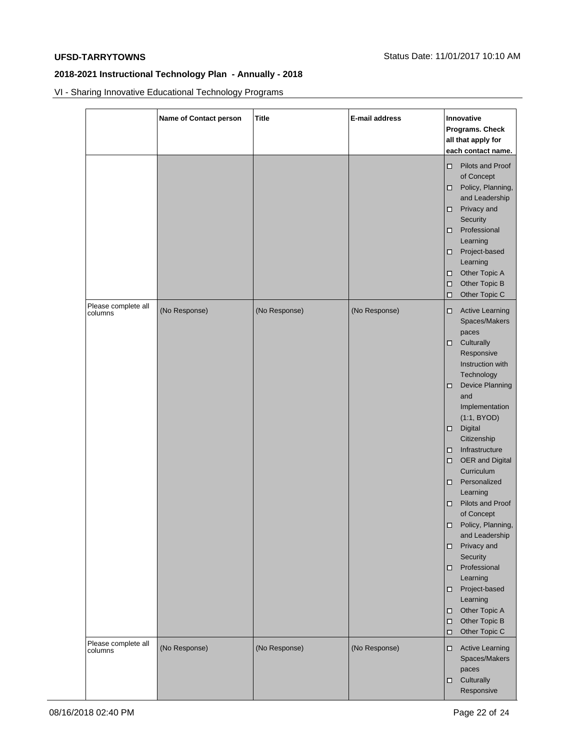VI - Sharing Innovative Educational Technology Programs

|                                | Name of Contact person | <b>Title</b>  | E-mail address | Innovative<br>Programs. Check<br>all that apply for<br>each contact name.                                                                                                                                                                                                                                                                                                                                                                                                                                                                                                                   |
|--------------------------------|------------------------|---------------|----------------|---------------------------------------------------------------------------------------------------------------------------------------------------------------------------------------------------------------------------------------------------------------------------------------------------------------------------------------------------------------------------------------------------------------------------------------------------------------------------------------------------------------------------------------------------------------------------------------------|
|                                |                        |               |                | Pilots and Proof<br>□<br>of Concept<br>Policy, Planning,<br>and Leadership<br>Privacy and<br>□<br>Security<br>Professional<br>□<br>Learning<br>Project-based<br>□<br>Learning<br>Other Topic A<br>□<br>Other Topic B<br>□<br>Other Topic C<br>□                                                                                                                                                                                                                                                                                                                                             |
| Please complete all<br>columns | (No Response)          | (No Response) | (No Response)  | <b>Active Learning</b><br>□.<br>Spaces/Makers<br>paces<br>Culturally<br>Ω.<br>Responsive<br>Instruction with<br>Technology<br>Device Planning<br>□<br>and<br>Implementation<br>(1:1, BYOD)<br>Digital<br>о<br>Citizenship<br>Infrastructure<br>□<br>OER and Digital<br>□<br>Curriculum<br>Personalized<br>◻<br>Learning<br><b>Pilots and Proof</b><br>□<br>of Concept<br>Policy, Planning,<br>□<br>and Leadership<br>Privacy and<br>□<br>Security<br>Professional<br>◻<br>Learning<br>Project-based<br>□<br>Learning<br>Other Topic A<br>□<br>Other Topic B<br>$\Box$<br>Other Topic C<br>□ |
| Please complete all<br>columns | (No Response)          | (No Response) | (No Response)  | <b>Active Learning</b><br>□<br>Spaces/Makers<br>paces<br>Culturally<br>□<br>Responsive                                                                                                                                                                                                                                                                                                                                                                                                                                                                                                      |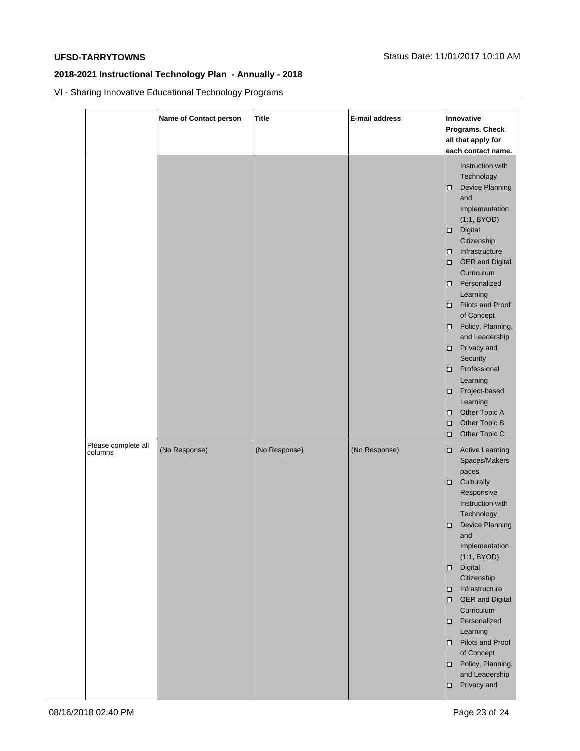VI - Sharing Innovative Educational Technology Programs

|                                | Name of Contact person | <b>Title</b>  | E-mail address | Innovative<br>Programs. Check<br>all that apply for<br>each contact name.                                                                                                                                                                                                                                                                                                                                                                                                                                                                  |
|--------------------------------|------------------------|---------------|----------------|--------------------------------------------------------------------------------------------------------------------------------------------------------------------------------------------------------------------------------------------------------------------------------------------------------------------------------------------------------------------------------------------------------------------------------------------------------------------------------------------------------------------------------------------|
|                                |                        |               |                | Instruction with<br>Technology<br>Device Planning<br>$\Box$<br>and<br>Implementation<br>(1:1, BYOD)<br>Digital<br>$\Box$<br>Citizenship<br>Infrastructure<br>$\Box$<br>OER and Digital<br>$\Box$<br>Curriculum<br>Personalized<br>$\Box$<br>Learning<br>Pilots and Proof<br>$\Box$<br>of Concept<br>Policy, Planning,<br>□<br>and Leadership<br>Privacy and<br>$\Box$<br>Security<br>Professional<br>$\Box$<br>Learning<br>Project-based<br>$\Box$<br>Learning<br>Other Topic A<br>□<br>Other Topic B<br>$\Box$<br>Other Topic C<br>$\Box$ |
| Please complete all<br>columns | (No Response)          | (No Response) | (No Response)  | <b>Active Learning</b><br>о<br>Spaces/Makers<br>paces<br>Culturally<br>о<br>Responsive<br>Instruction with<br>Technology<br>Device Planning<br>α<br>and<br>Implementation<br>(1:1, BYOD)<br>Digital<br>$\Box$<br>Citizenship<br>Infrastructure<br>о<br>OER and Digital<br>$\Box$<br>Curriculum<br>Personalized<br>$\Box$<br>Learning<br>$\Box$ Pilots and Proof<br>of Concept<br>Policy, Planning,<br>□<br>and Leadership<br>Privacy and<br>о                                                                                              |